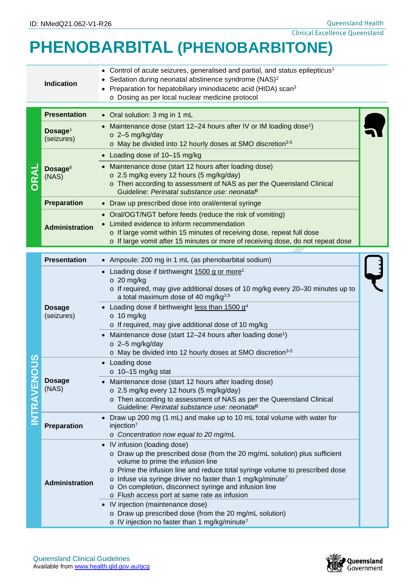Queensland Health Clinical Excellence Queensland

## **PHENOBARBITAL (PHENOBARBITONE)**

|  |                                   | -------------                                                                                                                                                                                                                                                                                |  |
|--|-----------------------------------|----------------------------------------------------------------------------------------------------------------------------------------------------------------------------------------------------------------------------------------------------------------------------------------------|--|
|  | <b>Indication</b>                 | • Control of acute seizures, generalised and partial, and status epilepticus <sup>1</sup><br>Sedation during neonatal abstinence syndrome (NAS) <sup>2</sup><br>Preparation for hepatobiliary iminodiacetic acid (HIDA) scan <sup>3</sup><br>o Dosing as per local nuclear medicine protocol |  |
|  | <b>Presentation</b>               | • Oral solution: 3 mg in 1 mL                                                                                                                                                                                                                                                                |  |
|  | Dosage <sup>1</sup><br>(seizures) | • Maintenance dose (start 12-24 hours after IV or IM loading dose <sup>1</sup> )<br>$\circ$ 2-5 mg/kg/day<br>o May be divided into 12 hourly doses at SMO discretion <sup>3-5</sup>                                                                                                          |  |
|  |                                   | • Loading dose of 10-15 mg/kg                                                                                                                                                                                                                                                                |  |
|  | Dosage <sup>6</sup><br>(NAS)      | • Maintenance dose (start 12 hours after loading dose)<br>o 2.5 mg/kg every 12 hours (5 mg/kg/day)<br>o Then according to assessment of NAS as per the Queensland Clinical<br>Guideline: Perinatal substance use: neonataß                                                                   |  |
|  | <b>Preparation</b>                | • Draw up prescribed dose into oral/enteral syringe                                                                                                                                                                                                                                          |  |
|  | <b>Administration</b>             | • Oral/OGT/NGT before feeds (reduce the risk of vomiting)<br>Limited evidence to inform recommendation<br>o If large vomit within 15 minutes of receiving dose, repeat full dose<br>o If large vomit after 15 minutes or more of receiving dose, do not repeat dose                          |  |
|  | <b>Presentation</b>               | • Ampoule: 200 mg in 1 mL (as phenobarbital sodium)                                                                                                                                                                                                                                          |  |
|  |                                   | • Loading dose if birthweight 1500 g or more <sup>1</sup><br>$\circ$ 20 mg/kg<br>$\circ$ If required, may give additional doses of 10 mg/kg every 20–30 minutes up to<br>a total maximum dose of 40 mg/kg <sup>3,5</sup>                                                                     |  |

|  |                             | a lulai maximum quse of 40 my Ng.                                                                                                                                                                                                                                                                                                                                                   |
|--|-----------------------------|-------------------------------------------------------------------------------------------------------------------------------------------------------------------------------------------------------------------------------------------------------------------------------------------------------------------------------------------------------------------------------------|
|  | <b>Dosage</b><br>(seizures) | • Loading dose if birthweight less than 1500 g <sup>4</sup><br>$\circ$ 10 mg/kg<br>$\circ$ If required, may give additional dose of 10 mg/kg                                                                                                                                                                                                                                        |
|  |                             | • Maintenance dose (start $12-24$ hours after loading dose <sup>1</sup> )<br>$\circ$ 2-5 mg/kg/day<br>$\circ$ May be divided into 12 hourly doses at SMO discretion <sup>3-5</sup>                                                                                                                                                                                                  |
|  |                             | • Loading dose<br>$\circ$ 10-15 mg/kg stat                                                                                                                                                                                                                                                                                                                                          |
|  | <b>Dosage</b><br>(NAS)      | • Maintenance dose (start 12 hours after loading dose)<br>o 2.5 mg/kg every 12 hours (5 mg/kg/day)<br>o Then according to assessment of NAS as per the Queensland Clinical<br>Guideline: Perinatal substance use: neonatal <sup>6</sup>                                                                                                                                             |
|  | <b>Preparation</b>          | • Draw up 200 mg (1 mL) and make up to 10 mL total volume with water for<br>injection <sup>7</sup><br>o Concentration now equal to 20 mg/mL                                                                                                                                                                                                                                         |
|  | <b>Administration</b>       | • IV infusion (loading dose)<br>$\circ$ Draw up the prescribed dose (from the 20 mg/mL solution) plus sufficient<br>volume to prime the infusion line<br>$\circ$ Prime the infusion line and reduce total syringe volume to prescribed dose<br>$\circ$ Infuse via syringe driver no faster than 1 mg/kg/minute <sup>7</sup><br>. On completion disconnect syrings and infusion line |

- o On completion, disconnect syringe and infusion line o Flush access port at same rate as infusion • IV injection (maintenance dose)
	- o Draw up prescribed dose (from the 20 mg/mL solution)
	- o IV injection no faster than 1 mg/kg/minute<sup>7</sup>

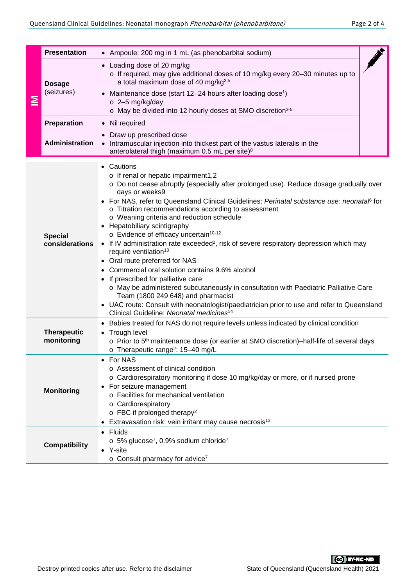|                                                                                                                                                                                                                        | <b>Presentation</b>                                                                                                                                                                                                                                                                                      | • Ampoule: 200 mg in 1 mL (as phenobarbital sodium)                                                                                                                                                                                                                                                                                                                                                                                                                                                                                                                                                                                                                                                                                                                                                                                                                                                                                                                                                    |  |  |
|------------------------------------------------------------------------------------------------------------------------------------------------------------------------------------------------------------------------|----------------------------------------------------------------------------------------------------------------------------------------------------------------------------------------------------------------------------------------------------------------------------------------------------------|--------------------------------------------------------------------------------------------------------------------------------------------------------------------------------------------------------------------------------------------------------------------------------------------------------------------------------------------------------------------------------------------------------------------------------------------------------------------------------------------------------------------------------------------------------------------------------------------------------------------------------------------------------------------------------------------------------------------------------------------------------------------------------------------------------------------------------------------------------------------------------------------------------------------------------------------------------------------------------------------------------|--|--|
| ≧                                                                                                                                                                                                                      | <b>Dosage</b><br>(seizures)                                                                                                                                                                                                                                                                              | • Loading dose of 20 mg/kg<br>o If required, may give additional doses of 10 mg/kg every 20-30 minutes up to<br>a total maximum dose of 40 mg/kg <sup>3,5</sup><br>Maintenance dose (start 12-24 hours after loading dose <sup>1</sup> )<br>$\circ$ 2-5 mg/kg/day<br>o May be divided into 12 hourly doses at SMO discretion <sup>3-5</sup>                                                                                                                                                                                                                                                                                                                                                                                                                                                                                                                                                                                                                                                            |  |  |
|                                                                                                                                                                                                                        | Preparation                                                                                                                                                                                                                                                                                              | • Nil required                                                                                                                                                                                                                                                                                                                                                                                                                                                                                                                                                                                                                                                                                                                                                                                                                                                                                                                                                                                         |  |  |
|                                                                                                                                                                                                                        | <b>Administration</b>                                                                                                                                                                                                                                                                                    | Draw up prescribed dose<br>Intramuscular injection into thickest part of the vastus lateralis in the<br>$\bullet$<br>anterolateral thigh (maximum 0.5 mL per site) <sup>8</sup>                                                                                                                                                                                                                                                                                                                                                                                                                                                                                                                                                                                                                                                                                                                                                                                                                        |  |  |
|                                                                                                                                                                                                                        | <b>Special</b><br>considerations                                                                                                                                                                                                                                                                         | Cautions<br>o If renal or hepatic impairment1,2<br>o Do not cease abruptly (especially after prolonged use). Reduce dosage gradually over<br>days or weeks9<br>• For NAS, refer to Queensland Clinical Guidelines: Perinatal substance use: neonatal for<br>o Titration recommendations according to assessment<br>o Weaning criteria and reduction schedule<br>Hepatobiliary scintigraphy<br>o Evidence of efficacy uncertain <sup>10-12</sup><br>• If IV administration rate exceeded <sup>2</sup> , risk of severe respiratory depression which may<br>require ventilation <sup>13</sup><br>• Oral route preferred for NAS<br>Commercial oral solution contains 9.6% alcohol<br>If prescribed for palliative care<br>o May be administered subcutaneously in consultation with Paediatric Palliative Care<br>Team (1800 249 648) and pharmacist<br>UAC route: Consult with neonatologist/paediatrician prior to use and refer to Queensland<br>Clinical Guideline: Neonatal medicines <sup>14</sup> |  |  |
|                                                                                                                                                                                                                        | Babies treated for NAS do not require levels unless indicated by clinical condition<br><b>Therapeutic</b><br>• Trough level<br>monitoring<br>$\circ$ Prior to 5 <sup>th</sup> maintenance dose (or earlier at SMO discretion)-half-life of several days<br>o Therapeutic range <sup>2</sup> : 15-40 mg/L |                                                                                                                                                                                                                                                                                                                                                                                                                                                                                                                                                                                                                                                                                                                                                                                                                                                                                                                                                                                                        |  |  |
| <b>For NAS</b><br>o Assessment of clinical condition<br>For seizure management<br><b>Monitoring</b><br>o Facilities for mechanical ventilation<br>o Cardiorespiratory<br>$\circ$ FBC if prolonged therapy <sup>2</sup> |                                                                                                                                                                                                                                                                                                          | o Cardiorespiratory monitoring if dose 10 mg/kg/day or more, or if nursed prone<br>Extravasation risk: vein irritant may cause necrosis <sup>13</sup>                                                                                                                                                                                                                                                                                                                                                                                                                                                                                                                                                                                                                                                                                                                                                                                                                                                  |  |  |
| • Fluids<br>$\circ$ 5% glucose <sup>7</sup> , 0.9% sodium chloride <sup>7</sup><br><b>Compatibility</b><br>• Y-site<br>$\circ$ Consult pharmacy for advice <sup>7</sup>                                                |                                                                                                                                                                                                                                                                                                          |                                                                                                                                                                                                                                                                                                                                                                                                                                                                                                                                                                                                                                                                                                                                                                                                                                                                                                                                                                                                        |  |  |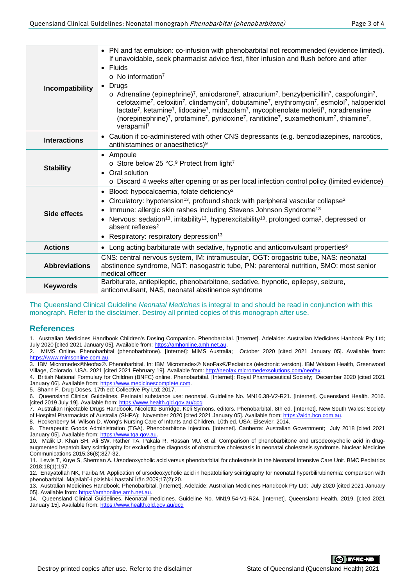| Incompatibility      | • PN and fat emulsion: co-infusion with phenobarbital not recommended (evidence limited).<br>If unavoidable, seek pharmacist advice first, filter infusion and flush before and after<br>$\bullet$ Fluids<br>$\circ$ No information <sup>7</sup><br>Drugs<br>$\bullet$<br>$\circ$ Adrenaline (epinephrine) <sup>7</sup> , amiodarone <sup>7</sup> , atracurium <sup>7</sup> , benzylpenicillin <sup>7</sup> , caspofungin <sup>7</sup> ,<br>cefotaxime <sup>7</sup> , cefoxitin <sup>7</sup> , clindamycin <sup>7</sup> , dobutamine <sup>7</sup> , erythromycin <sup>7</sup> , esmolol <sup>7</sup> , haloperidol<br>lactate <sup>7</sup> , ketamine <sup>7</sup> , lidocaine <sup>7</sup> , midazolam <sup>7</sup> , mycophenolate mofetil <sup>7</sup> , noradrenaline<br>(norepinephrine) <sup>7</sup> , protamine <sup>7</sup> , pyridoxine <sup>7</sup> , ranitidine <sup>7</sup> , suxamethonium <sup>7</sup> , thiamine <sup>7</sup> ,<br>verapamil <sup>7</sup> |  |
|----------------------|--------------------------------------------------------------------------------------------------------------------------------------------------------------------------------------------------------------------------------------------------------------------------------------------------------------------------------------------------------------------------------------------------------------------------------------------------------------------------------------------------------------------------------------------------------------------------------------------------------------------------------------------------------------------------------------------------------------------------------------------------------------------------------------------------------------------------------------------------------------------------------------------------------------------------------------------------------------------------|--|
| <b>Interactions</b>  | • Caution if co-administered with other CNS depressants (e.g. benzodiazepines, narcotics,<br>antihistamines or anaesthetics) <sup>9</sup>                                                                                                                                                                                                                                                                                                                                                                                                                                                                                                                                                                                                                                                                                                                                                                                                                                |  |
| <b>Stability</b>     | • Ampoule<br>o Store below 25 °C. <sup>9</sup> Protect from light <sup>7</sup><br>Oral solution<br>$\bullet$<br>o Discard 4 weeks after opening or as per local infection control policy (limited evidence)                                                                                                                                                                                                                                                                                                                                                                                                                                                                                                                                                                                                                                                                                                                                                              |  |
| Side effects         | • Blood: hypocalcaemia, folate deficiency <sup>2</sup><br>Circulatory: hypotension <sup>13</sup> , profound shock with peripheral vascular collapse <sup>2</sup><br>Immune: allergic skin rashes including Stevens Johnson Syndrome <sup>13</sup><br>Nervous: sedation <sup>13</sup> , irritability <sup>13</sup> , hyperexcitability <sup>13</sup> , prolonged coma <sup>2</sup> , depressed or<br>$\bullet$<br>absent reflexes <sup>2</sup><br>Respiratory: respiratory depression <sup>13</sup><br>$\bullet$                                                                                                                                                                                                                                                                                                                                                                                                                                                          |  |
| <b>Actions</b>       | • Long acting barbiturate with sedative, hypnotic and anticonvulsant properties <sup>9</sup>                                                                                                                                                                                                                                                                                                                                                                                                                                                                                                                                                                                                                                                                                                                                                                                                                                                                             |  |
| <b>Abbreviations</b> | CNS: central nervous system, IM: intramuscular, OGT: orogastric tube, NAS: neonatal<br>abstinence syndrome, NGT: nasogastric tube, PN: parenteral nutrition, SMO: most senior<br>medical officer                                                                                                                                                                                                                                                                                                                                                                                                                                                                                                                                                                                                                                                                                                                                                                         |  |
| <b>Keywords</b>      | Barbiturate, antiepileptic, phenobarbitone, sedative, hypnotic, epilepsy, seizure,<br>anticonvulsant, NAS, neonatal abstinence syndrome                                                                                                                                                                                                                                                                                                                                                                                                                                                                                                                                                                                                                                                                                                                                                                                                                                  |  |

The Queensland Clinical Guideline *Neonatal Medicines* is integral to and should be read in conjunction with this monograph. Refer to the disclaimer. Destroy all printed copies of this monograph after use.

## **References**

1. Australian Medicines Handbook Children's Dosing Companion. Phenobarbital. [Internet]. Adelaide: Australian Medicines Hanbook Pty Ltd; July 2020 [cited 2021 January 05]. Available from: [https://amhonline.amh.net.au.](https://amhonline.amh.net.au/)

2. MIMS Online. Phenobarbital (phenobarbitone). [Internet]: MIMS Australia; October 2020 [cited 2021 January 05]. Available from: [https://www.mimsonline.com.au.](https://www.mimsonline.com.au/)

3. IBM Micromedex®Neofax®. Phenobarbital. In: IBM Micromedex® NeoFax®/Pediatrics (electronic version). IBM Watson Health, Greenwood Village, Colorado, USA. 2021 [cited 2021 February 19]. Available from: http://neofax.micromedexsolutions.com

4. British National Formulary for Children (BNFC) online. Phenobarbital. [Internet]: Royal Pharmaceutical Society; December 2020 [cited 2021 January 06]. Available from: [https://www.medicinescomplete.com.](https://www.medicinescomplete.com/)

5. Shann F. Drug Doses. 17th ed: Collective Pty Ltd; 2017.

6. Queensland Clinical Guidelines. Perinatal substance use: neonatal. Guideline No. MN16.38-V2-R21. [Internet]. Queensland Health. 2016. [cited 2019 July 19]. Available from:<https://www.health.qld.gov.au/qcg>

7. Australian Injectable Drugs Handbook. Nicolette Burridge, Keli Symons, editors. Phenobarbital. 8th ed. [Internet]. New South Wales: Society of Hospital Pharmacists of Australia (SHPA); November 2020 [cited 2021 January 05]. Available from[: https://aidh.hcn.com.au.](https://aidh.hcn.com.au/)

8. Hockenberry M, Wilson D. Wong's Nursing Care of Infants and Children. 10th ed. USA: Elsevier; 2014.

9. Therapeutic Goods Administration (TGA). Phenobarbitone Injection. [Internet]. Canberra: Australian Government; July 2018 [cited 2021 January 05]. Available from: https://www.tga.gov.au

10. Malik D, Khan SH, Ali SW, Rather TA, Pakala R, Hassan MU, et al. Comparison of phenobarbitone and ursodeoxycholic acid in drugaugmented hepatobiliary scintigraphy for excluding the diagnosis of obstructive cholestasis in neonatal cholestasis syndrome. Nuclear Medicine Communications 2015;36(8):827-32.

11. Lewis T, Kuye S, Sherman A. Ursodeoxycholic acid versus phenobarbital for cholestasis in the Neonatal Intensive Care Unit. BMC Pediatrics 2018;18(1):197.

12. Enayatollah NK, Fariba M. Application of ursodeoxycholic acid in hepatobiliary scintigraphy for neonatal hyperbilirubinemia: comparison with phenobarbital. Majallahī-i pizishk-i hastahī Īrān 2009;17(2):20.

13. Australian Medicines Handbook. Phenobarbital. [Internet]. Adelaide: Australian Medicines Handbook Pty Ltd; July 2020 [cited 2021 January 05]. Available from[: https://amhonline.amh.net.au.](https://amhonline.amh.net.au/)

14. Queensland Clinical Guidelines. Neonatal medicines. Guideline No. MN19.54-V1-R24. [Internet]. Queensland Health. 2019. [cited 2021 January 15]. Available from:<https://www.health.qld.gov.au/qcg>